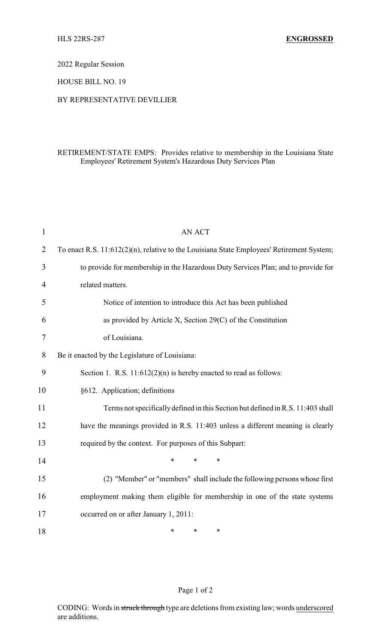2022 Regular Session

HOUSE BILL NO. 19

## BY REPRESENTATIVE DEVILLIER

## RETIREMENT/STATE EMPS: Provides relative to membership in the Louisiana State Employees' Retirement System's Hazardous Duty Services Plan

| $\mathbf{1}$   | <b>AN ACT</b>                                                                             |  |  |
|----------------|-------------------------------------------------------------------------------------------|--|--|
| $\overline{2}$ | To enact R.S. 11:612(2)(n), relative to the Louisiana State Employees' Retirement System; |  |  |
| 3              | to provide for membership in the Hazardous Duty Services Plan; and to provide for         |  |  |
| $\overline{4}$ | related matters.                                                                          |  |  |
| 5              | Notice of intention to introduce this Act has been published                              |  |  |
| 6              | as provided by Article X, Section 29(C) of the Constitution                               |  |  |
| $\tau$         | of Louisiana.                                                                             |  |  |
| 8              | Be it enacted by the Legislature of Louisiana:                                            |  |  |
| 9              | Section 1. R.S. $11:612(2)(n)$ is hereby enacted to read as follows:                      |  |  |
| 10             | §612. Application; definitions                                                            |  |  |
| 11             | Terms not specifically defined in this Section but defined in R.S. 11:403 shall           |  |  |
| 12             | have the meanings provided in R.S. 11:403 unless a different meaning is clearly           |  |  |
| 13             | required by the context. For purposes of this Subpart:                                    |  |  |
| 14             | $\ast$<br>$\ast$<br>$\ast$                                                                |  |  |
| 15             | (2) "Member" or "members" shall include the following persons whose first                 |  |  |
| 16             | employment making them eligible for membership in one of the state systems                |  |  |
| 17             | occurred on or after January 1, 2011:                                                     |  |  |
| 18             | $\ast$<br>*<br>*                                                                          |  |  |

## Page 1 of 2